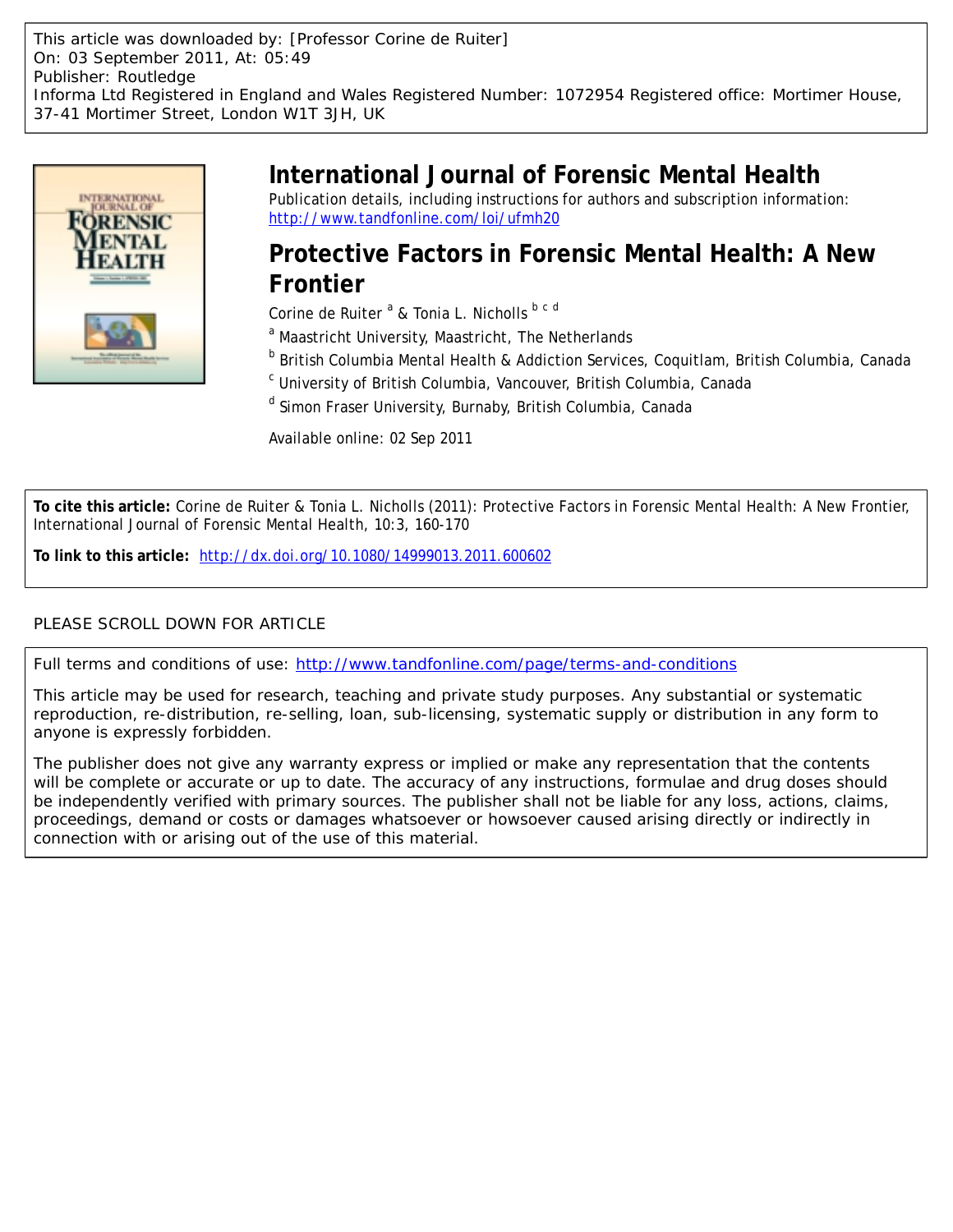This article was downloaded by: [Professor Corine de Ruiter] On: 03 September 2011, At: 05:49 Publisher: Routledge Informa Ltd Registered in England and Wales Registered Number: 1072954 Registered office: Mortimer House, 37-41 Mortimer Street, London W1T 3JH, UK



# **International Journal of Forensic Mental Health**

Publication details, including instructions for authors and subscription information: <http://www.tandfonline.com/loi/ufmh20>

## **Protective Factors in Forensic Mental Health: A New Frontier**

Corine de Ruiter <sup>a</sup> & Tonia L. Nicholls <sup>b c d</sup>

<sup>a</sup> Maastricht University, Maastricht, The Netherlands

<sup>b</sup> British Columbia Mental Health & Addiction Services, Coquitlam, British Columbia, Canada

<sup>c</sup> University of British Columbia, Vancouver, British Columbia, Canada

<sup>d</sup> Simon Fraser University, Burnaby, British Columbia, Canada

Available online: 02 Sep 2011

**To cite this article:** Corine de Ruiter & Tonia L. Nicholls (2011): Protective Factors in Forensic Mental Health: A New Frontier, International Journal of Forensic Mental Health, 10:3, 160-170

**To link to this article:** <http://dx.doi.org/10.1080/14999013.2011.600602>

### PLEASE SCROLL DOWN FOR ARTICLE

Full terms and conditions of use:<http://www.tandfonline.com/page/terms-and-conditions>

This article may be used for research, teaching and private study purposes. Any substantial or systematic reproduction, re-distribution, re-selling, loan, sub-licensing, systematic supply or distribution in any form to anyone is expressly forbidden.

The publisher does not give any warranty express or implied or make any representation that the contents will be complete or accurate or up to date. The accuracy of any instructions, formulae and drug doses should be independently verified with primary sources. The publisher shall not be liable for any loss, actions, claims, proceedings, demand or costs or damages whatsoever or howsoever caused arising directly or indirectly in connection with or arising out of the use of this material.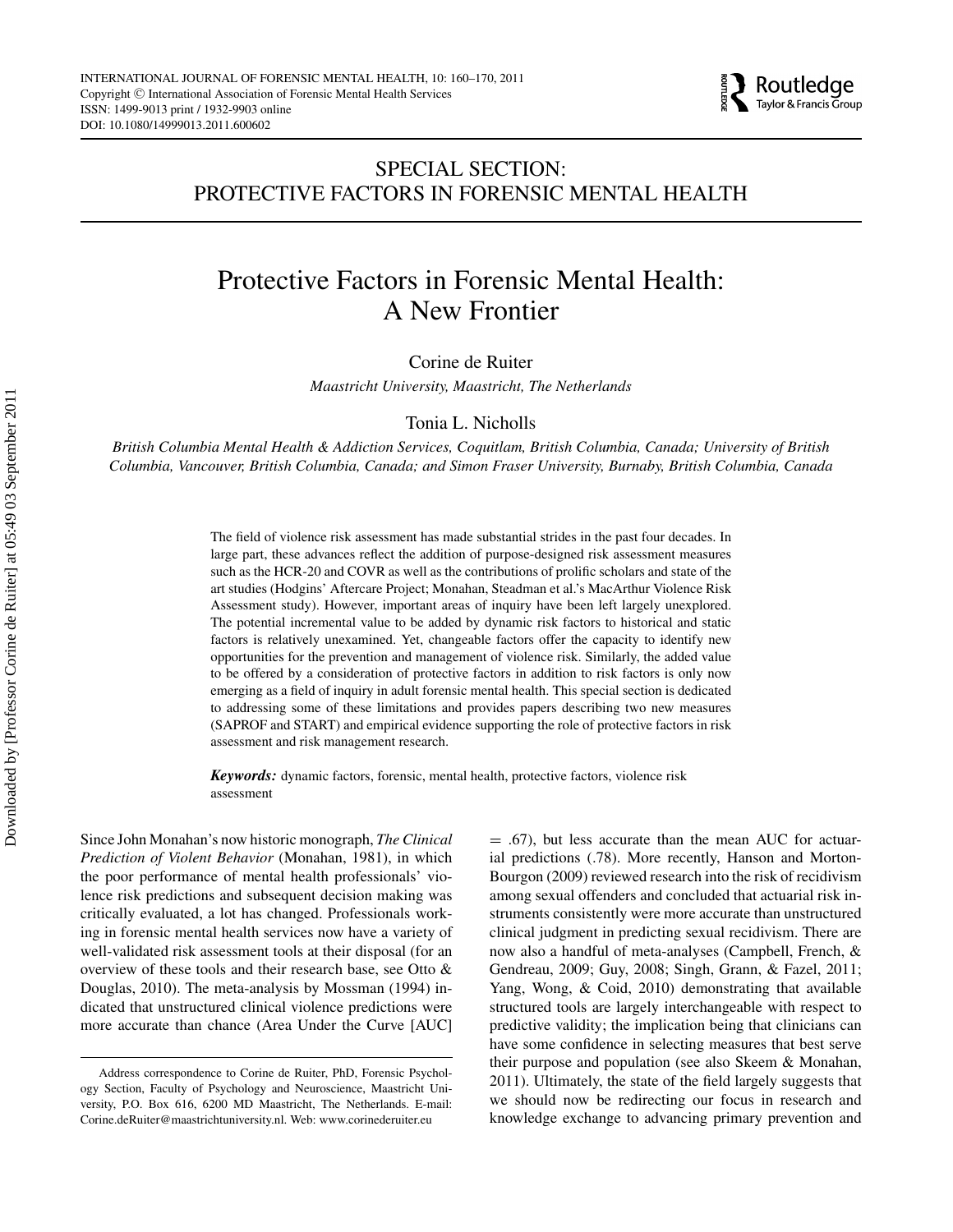

### SPECIAL SECTION: PROTECTIVE FACTORS IN FORENSIC MENTAL HEALTH

## Protective Factors in Forensic Mental Health: A New Frontier

Corine de Ruiter

*Maastricht University, Maastricht, The Netherlands*

Tonia L. Nicholls

*British Columbia Mental Health & Addiction Services, Coquitlam, British Columbia, Canada; University of British Columbia, Vancouver, British Columbia, Canada; and Simon Fraser University, Burnaby, British Columbia, Canada*

> The field of violence risk assessment has made substantial strides in the past four decades. In large part, these advances reflect the addition of purpose-designed risk assessment measures such as the HCR-20 and COVR as well as the contributions of prolific scholars and state of the art studies (Hodgins' Aftercare Project; Monahan, Steadman et al.'s MacArthur Violence Risk Assessment study). However, important areas of inquiry have been left largely unexplored. The potential incremental value to be added by dynamic risk factors to historical and static factors is relatively unexamined. Yet, changeable factors offer the capacity to identify new opportunities for the prevention and management of violence risk. Similarly, the added value to be offered by a consideration of protective factors in addition to risk factors is only now emerging as a field of inquiry in adult forensic mental health. This special section is dedicated to addressing some of these limitations and provides papers describing two new measures (SAPROF and START) and empirical evidence supporting the role of protective factors in risk assessment and risk management research.

*Keywords:* dynamic factors, forensic, mental health, protective factors, violence risk assessment

Since John Monahan's now historic monograph, *The Clinical Prediction of Violent Behavior* (Monahan, 1981), in which the poor performance of mental health professionals' violence risk predictions and subsequent decision making was critically evaluated, a lot has changed. Professionals working in forensic mental health services now have a variety of well-validated risk assessment tools at their disposal (for an overview of these tools and their research base, see Otto & Douglas, 2010). The meta-analysis by Mossman (1994) indicated that unstructured clinical violence predictions were more accurate than chance (Area Under the Curve [AUC] = .67), but less accurate than the mean AUC for actuarial predictions (.78). More recently, Hanson and Morton-Bourgon (2009) reviewed research into the risk of recidivism among sexual offenders and concluded that actuarial risk instruments consistently were more accurate than unstructured clinical judgment in predicting sexual recidivism. There are now also a handful of meta-analyses (Campbell, French, & Gendreau, 2009; Guy, 2008; Singh, Grann, & Fazel, 2011; Yang, Wong, & Coid, 2010) demonstrating that available structured tools are largely interchangeable with respect to predictive validity; the implication being that clinicians can have some confidence in selecting measures that best serve their purpose and population (see also Skeem & Monahan, 2011). Ultimately, the state of the field largely suggests that we should now be redirecting our focus in research and knowledge exchange to advancing primary prevention and

Address correspondence to Corine de Ruiter, PhD, Forensic Psychology Section, Faculty of Psychology and Neuroscience, Maastricht University, P.O. Box 616, 6200 MD Maastricht, The Netherlands. E-mail: Corine.deRuiter@maastrichtuniversity.nl. Web: www.corinederuiter.eu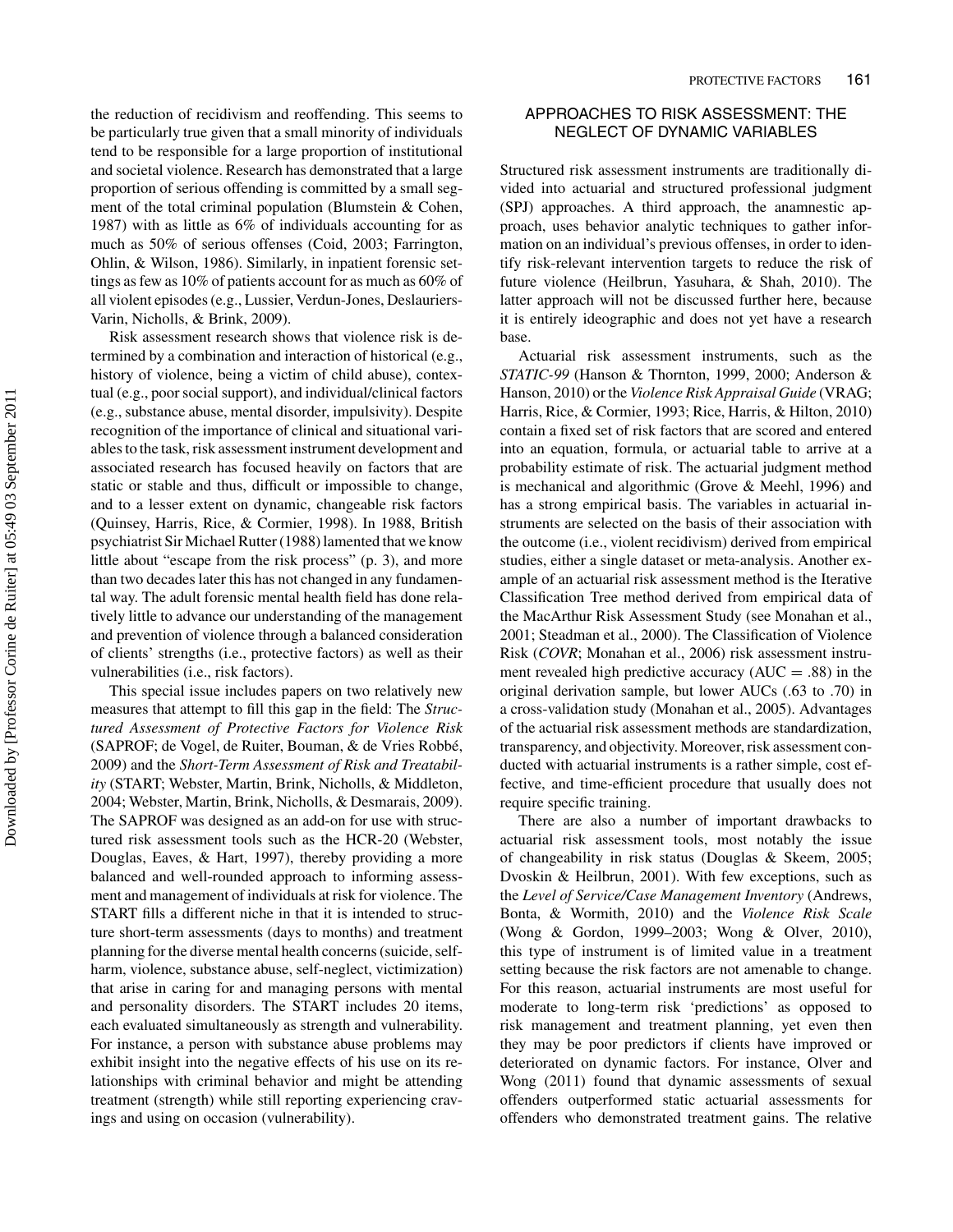the reduction of recidivism and reoffending. This seems to be particularly true given that a small minority of individuals tend to be responsible for a large proportion of institutional and societal violence. Research has demonstrated that a large proportion of serious offending is committed by a small segment of the total criminal population (Blumstein & Cohen, 1987) with as little as 6% of individuals accounting for as much as 50% of serious offenses (Coid, 2003; Farrington, Ohlin, & Wilson, 1986). Similarly, in inpatient forensic settings as few as 10% of patients account for as much as 60% of all violent episodes (e.g., Lussier, Verdun-Jones, Deslauriers-Varin, Nicholls, & Brink, 2009).

Risk assessment research shows that violence risk is determined by a combination and interaction of historical (e.g., history of violence, being a victim of child abuse), contextual (e.g., poor social support), and individual/clinical factors (e.g., substance abuse, mental disorder, impulsivity). Despite recognition of the importance of clinical and situational variables to the task, risk assessment instrument development and associated research has focused heavily on factors that are static or stable and thus, difficult or impossible to change, and to a lesser extent on dynamic, changeable risk factors (Quinsey, Harris, Rice, & Cormier, 1998). In 1988, British psychiatrist Sir Michael Rutter (1988) lamented that we know little about "escape from the risk process" (p. 3), and more than two decades later this has not changed in any fundamental way. The adult forensic mental health field has done relatively little to advance our understanding of the management and prevention of violence through a balanced consideration of clients' strengths (i.e., protective factors) as well as their vulnerabilities (i.e., risk factors).

This special issue includes papers on two relatively new measures that attempt to fill this gap in the field: The *Structured Assessment of Protective Factors for Violence Risk* (SAPROF; de Vogel, de Ruiter, Bouman, & de Vries Robbe,´ 2009) and the *Short-Term Assessment of Risk and Treatability* (START; Webster, Martin, Brink, Nicholls, & Middleton, 2004; Webster, Martin, Brink, Nicholls, & Desmarais, 2009). The SAPROF was designed as an add-on for use with structured risk assessment tools such as the HCR-20 (Webster, Douglas, Eaves, & Hart, 1997), thereby providing a more balanced and well-rounded approach to informing assessment and management of individuals at risk for violence. The START fills a different niche in that it is intended to structure short-term assessments (days to months) and treatment planning for the diverse mental health concerns (suicide, selfharm, violence, substance abuse, self-neglect, victimization) that arise in caring for and managing persons with mental and personality disorders. The START includes 20 items, each evaluated simultaneously as strength and vulnerability. For instance, a person with substance abuse problems may exhibit insight into the negative effects of his use on its relationships with criminal behavior and might be attending treatment (strength) while still reporting experiencing cravings and using on occasion (vulnerability).

### APPROACHES TO RISK ASSESSMENT: THE NEGLECT OF DYNAMIC VARIABLES

Structured risk assessment instruments are traditionally divided into actuarial and structured professional judgment (SPJ) approaches. A third approach, the anamnestic approach, uses behavior analytic techniques to gather information on an individual's previous offenses, in order to identify risk-relevant intervention targets to reduce the risk of future violence (Heilbrun, Yasuhara, & Shah, 2010). The latter approach will not be discussed further here, because it is entirely ideographic and does not yet have a research base.

Actuarial risk assessment instruments, such as the *STATIC-99* (Hanson & Thornton, 1999, 2000; Anderson & Hanson, 2010) or the *Violence Risk Appraisal Guide* (VRAG; Harris, Rice, & Cormier, 1993; Rice, Harris, & Hilton, 2010) contain a fixed set of risk factors that are scored and entered into an equation, formula, or actuarial table to arrive at a probability estimate of risk. The actuarial judgment method is mechanical and algorithmic (Grove & Meehl, 1996) and has a strong empirical basis. The variables in actuarial instruments are selected on the basis of their association with the outcome (i.e., violent recidivism) derived from empirical studies, either a single dataset or meta-analysis. Another example of an actuarial risk assessment method is the Iterative Classification Tree method derived from empirical data of the MacArthur Risk Assessment Study (see Monahan et al., 2001; Steadman et al., 2000). The Classification of Violence Risk (*COVR*; Monahan et al., 2006) risk assessment instrument revealed high predictive accuracy  $(AUC = .88)$  in the original derivation sample, but lower AUCs (.63 to .70) in a cross-validation study (Monahan et al., 2005). Advantages of the actuarial risk assessment methods are standardization, transparency, and objectivity. Moreover, risk assessment conducted with actuarial instruments is a rather simple, cost effective, and time-efficient procedure that usually does not require specific training.

There are also a number of important drawbacks to actuarial risk assessment tools, most notably the issue of changeability in risk status (Douglas & Skeem, 2005; Dvoskin & Heilbrun, 2001). With few exceptions, such as the *Level of Service/Case Management Inventory* (Andrews, Bonta, & Wormith, 2010) and the *Violence Risk Scale* (Wong & Gordon, 1999–2003; Wong & Olver, 2010), this type of instrument is of limited value in a treatment setting because the risk factors are not amenable to change. For this reason, actuarial instruments are most useful for moderate to long-term risk 'predictions' as opposed to risk management and treatment planning, yet even then they may be poor predictors if clients have improved or deteriorated on dynamic factors. For instance, Olver and Wong (2011) found that dynamic assessments of sexual offenders outperformed static actuarial assessments for offenders who demonstrated treatment gains. The relative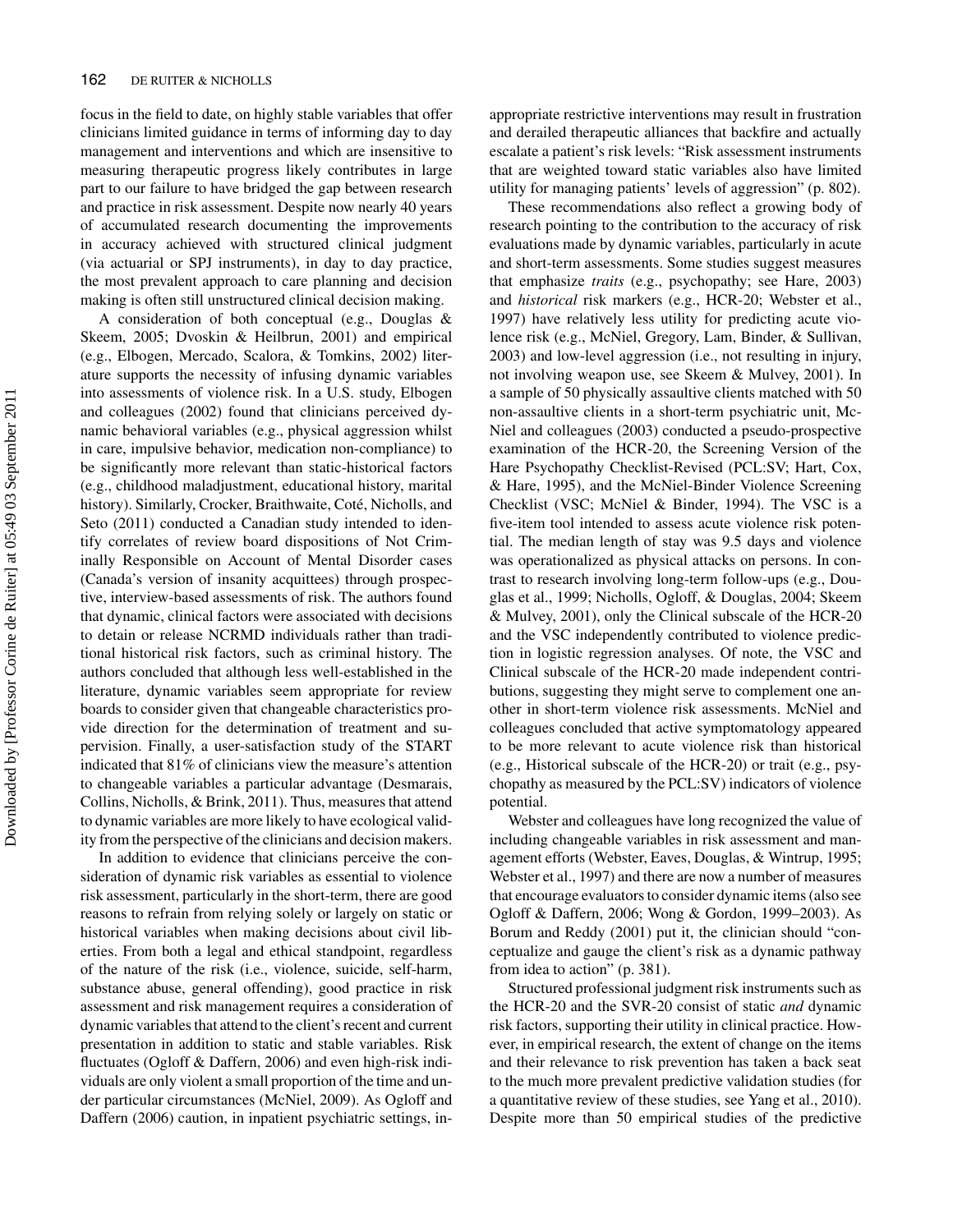focus in the field to date, on highly stable variables that offer clinicians limited guidance in terms of informing day to day management and interventions and which are insensitive to measuring therapeutic progress likely contributes in large part to our failure to have bridged the gap between research and practice in risk assessment. Despite now nearly 40 years of accumulated research documenting the improvements in accuracy achieved with structured clinical judgment (via actuarial or SPJ instruments), in day to day practice, the most prevalent approach to care planning and decision making is often still unstructured clinical decision making.

A consideration of both conceptual (e.g., Douglas & Skeem, 2005; Dvoskin & Heilbrun, 2001) and empirical (e.g., Elbogen, Mercado, Scalora, & Tomkins, 2002) literature supports the necessity of infusing dynamic variables into assessments of violence risk. In a U.S. study, Elbogen and colleagues (2002) found that clinicians perceived dynamic behavioral variables (e.g., physical aggression whilst in care, impulsive behavior, medication non-compliance) to be significantly more relevant than static-historical factors (e.g., childhood maladjustment, educational history, marital history). Similarly, Crocker, Braithwaite, Coté, Nicholls, and Seto (2011) conducted a Canadian study intended to identify correlates of review board dispositions of Not Criminally Responsible on Account of Mental Disorder cases (Canada's version of insanity acquittees) through prospective, interview-based assessments of risk. The authors found that dynamic, clinical factors were associated with decisions to detain or release NCRMD individuals rather than traditional historical risk factors, such as criminal history. The authors concluded that although less well-established in the literature, dynamic variables seem appropriate for review boards to consider given that changeable characteristics provide direction for the determination of treatment and supervision. Finally, a user-satisfaction study of the START indicated that 81% of clinicians view the measure's attention to changeable variables a particular advantage (Desmarais, Collins, Nicholls, & Brink, 2011). Thus, measures that attend to dynamic variables are more likely to have ecological validity from the perspective of the clinicians and decision makers.

In addition to evidence that clinicians perceive the consideration of dynamic risk variables as essential to violence risk assessment, particularly in the short-term, there are good reasons to refrain from relying solely or largely on static or historical variables when making decisions about civil liberties. From both a legal and ethical standpoint, regardless of the nature of the risk (i.e., violence, suicide, self-harm, substance abuse, general offending), good practice in risk assessment and risk management requires a consideration of dynamic variables that attend to the client's recent and current presentation in addition to static and stable variables. Risk fluctuates (Ogloff & Daffern, 2006) and even high-risk individuals are only violent a small proportion of the time and under particular circumstances (McNiel, 2009). As Ogloff and Daffern (2006) caution, in inpatient psychiatric settings, inappropriate restrictive interventions may result in frustration and derailed therapeutic alliances that backfire and actually escalate a patient's risk levels: "Risk assessment instruments that are weighted toward static variables also have limited utility for managing patients' levels of aggression" (p. 802).

These recommendations also reflect a growing body of research pointing to the contribution to the accuracy of risk evaluations made by dynamic variables, particularly in acute and short-term assessments. Some studies suggest measures that emphasize *traits* (e.g., psychopathy; see Hare, 2003) and *historical* risk markers (e.g., HCR-20; Webster et al., 1997) have relatively less utility for predicting acute violence risk (e.g., McNiel, Gregory, Lam, Binder, & Sullivan, 2003) and low-level aggression (i.e., not resulting in injury, not involving weapon use, see Skeem & Mulvey, 2001). In a sample of 50 physically assaultive clients matched with 50 non-assaultive clients in a short-term psychiatric unit, Mc-Niel and colleagues (2003) conducted a pseudo-prospective examination of the HCR-20, the Screening Version of the Hare Psychopathy Checklist-Revised (PCL:SV; Hart, Cox, & Hare, 1995), and the McNiel-Binder Violence Screening Checklist (VSC; McNiel & Binder, 1994). The VSC is a five-item tool intended to assess acute violence risk potential. The median length of stay was 9.5 days and violence was operationalized as physical attacks on persons. In contrast to research involving long-term follow-ups (e.g., Douglas et al., 1999; Nicholls, Ogloff, & Douglas, 2004; Skeem & Mulvey, 2001), only the Clinical subscale of the HCR-20 and the VSC independently contributed to violence prediction in logistic regression analyses. Of note, the VSC and Clinical subscale of the HCR-20 made independent contributions, suggesting they might serve to complement one another in short-term violence risk assessments. McNiel and colleagues concluded that active symptomatology appeared to be more relevant to acute violence risk than historical (e.g., Historical subscale of the HCR-20) or trait (e.g., psychopathy as measured by the PCL:SV) indicators of violence potential.

Webster and colleagues have long recognized the value of including changeable variables in risk assessment and management efforts (Webster, Eaves, Douglas, & Wintrup, 1995; Webster et al., 1997) and there are now a number of measures that encourage evaluators to consider dynamic items (also see Ogloff & Daffern, 2006; Wong & Gordon, 1999–2003). As Borum and Reddy (2001) put it, the clinician should "conceptualize and gauge the client's risk as a dynamic pathway from idea to action" (p. 381).

Structured professional judgment risk instruments such as the HCR-20 and the SVR-20 consist of static *and* dynamic risk factors, supporting their utility in clinical practice. However, in empirical research, the extent of change on the items and their relevance to risk prevention has taken a back seat to the much more prevalent predictive validation studies (for a quantitative review of these studies, see Yang et al., 2010). Despite more than 50 empirical studies of the predictive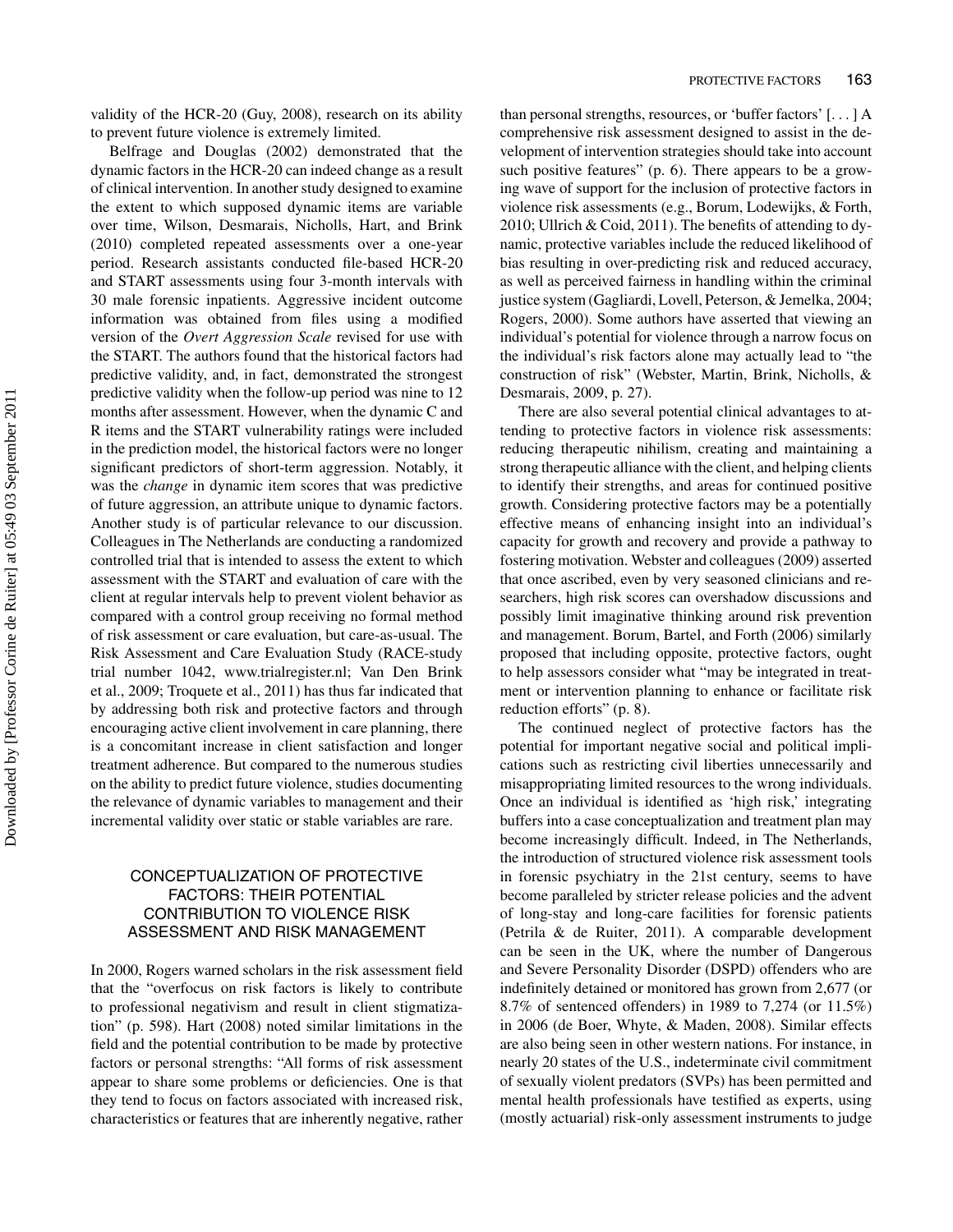validity of the HCR-20 (Guy, 2008), research on its ability to prevent future violence is extremely limited.

Belfrage and Douglas (2002) demonstrated that the dynamic factors in the HCR-20 can indeed change as a result of clinical intervention. In another study designed to examine the extent to which supposed dynamic items are variable over time, Wilson, Desmarais, Nicholls, Hart, and Brink (2010) completed repeated assessments over a one-year period. Research assistants conducted file-based HCR-20 and START assessments using four 3-month intervals with 30 male forensic inpatients. Aggressive incident outcome information was obtained from files using a modified version of the *Overt Aggression Scale* revised for use with the START. The authors found that the historical factors had predictive validity, and, in fact, demonstrated the strongest predictive validity when the follow-up period was nine to 12 months after assessment. However, when the dynamic C and R items and the START vulnerability ratings were included in the prediction model, the historical factors were no longer significant predictors of short-term aggression. Notably, it was the *change* in dynamic item scores that was predictive of future aggression, an attribute unique to dynamic factors. Another study is of particular relevance to our discussion. Colleagues in The Netherlands are conducting a randomized controlled trial that is intended to assess the extent to which assessment with the START and evaluation of care with the client at regular intervals help to prevent violent behavior as compared with a control group receiving no formal method of risk assessment or care evaluation, but care-as-usual. The Risk Assessment and Care Evaluation Study (RACE-study trial number 1042, www.trialregister.nl; Van Den Brink et al., 2009; Troquete et al., 2011) has thus far indicated that by addressing both risk and protective factors and through encouraging active client involvement in care planning, there is a concomitant increase in client satisfaction and longer treatment adherence. But compared to the numerous studies on the ability to predict future violence, studies documenting the relevance of dynamic variables to management and their incremental validity over static or stable variables are rare.

### CONCEPTUALIZATION OF PROTECTIVE FACTORS: THEIR POTENTIAL CONTRIBUTION TO VIOLENCE RISK ASSESSMENT AND RISK MANAGEMENT

In 2000, Rogers warned scholars in the risk assessment field that the "overfocus on risk factors is likely to contribute to professional negativism and result in client stigmatization" (p. 598). Hart (2008) noted similar limitations in the field and the potential contribution to be made by protective factors or personal strengths: "All forms of risk assessment appear to share some problems or deficiencies. One is that they tend to focus on factors associated with increased risk, characteristics or features that are inherently negative, rather

than personal strengths, resources, or 'buffer factors' [. . . ] A comprehensive risk assessment designed to assist in the development of intervention strategies should take into account such positive features" (p. 6). There appears to be a growing wave of support for the inclusion of protective factors in violence risk assessments (e.g., Borum, Lodewijks, & Forth, 2010; Ullrich & Coid, 2011). The benefits of attending to dynamic, protective variables include the reduced likelihood of bias resulting in over-predicting risk and reduced accuracy, as well as perceived fairness in handling within the criminal justice system (Gagliardi, Lovell, Peterson, & Jemelka, 2004; Rogers, 2000). Some authors have asserted that viewing an individual's potential for violence through a narrow focus on the individual's risk factors alone may actually lead to "the construction of risk" (Webster, Martin, Brink, Nicholls, & Desmarais, 2009, p. 27).

There are also several potential clinical advantages to attending to protective factors in violence risk assessments: reducing therapeutic nihilism, creating and maintaining a strong therapeutic alliance with the client, and helping clients to identify their strengths, and areas for continued positive growth. Considering protective factors may be a potentially effective means of enhancing insight into an individual's capacity for growth and recovery and provide a pathway to fostering motivation. Webster and colleagues (2009) asserted that once ascribed, even by very seasoned clinicians and researchers, high risk scores can overshadow discussions and possibly limit imaginative thinking around risk prevention and management. Borum, Bartel, and Forth (2006) similarly proposed that including opposite, protective factors, ought to help assessors consider what "may be integrated in treatment or intervention planning to enhance or facilitate risk reduction efforts" (p. 8).

The continued neglect of protective factors has the potential for important negative social and political implications such as restricting civil liberties unnecessarily and misappropriating limited resources to the wrong individuals. Once an individual is identified as 'high risk,' integrating buffers into a case conceptualization and treatment plan may become increasingly difficult. Indeed, in The Netherlands, the introduction of structured violence risk assessment tools in forensic psychiatry in the 21st century, seems to have become paralleled by stricter release policies and the advent of long-stay and long-care facilities for forensic patients (Petrila & de Ruiter, 2011). A comparable development can be seen in the UK, where the number of Dangerous and Severe Personality Disorder (DSPD) offenders who are indefinitely detained or monitored has grown from 2,677 (or 8.7% of sentenced offenders) in 1989 to 7,274 (or 11.5%) in 2006 (de Boer, Whyte, & Maden, 2008). Similar effects are also being seen in other western nations. For instance, in nearly 20 states of the U.S., indeterminate civil commitment of sexually violent predators (SVPs) has been permitted and mental health professionals have testified as experts, using (mostly actuarial) risk-only assessment instruments to judge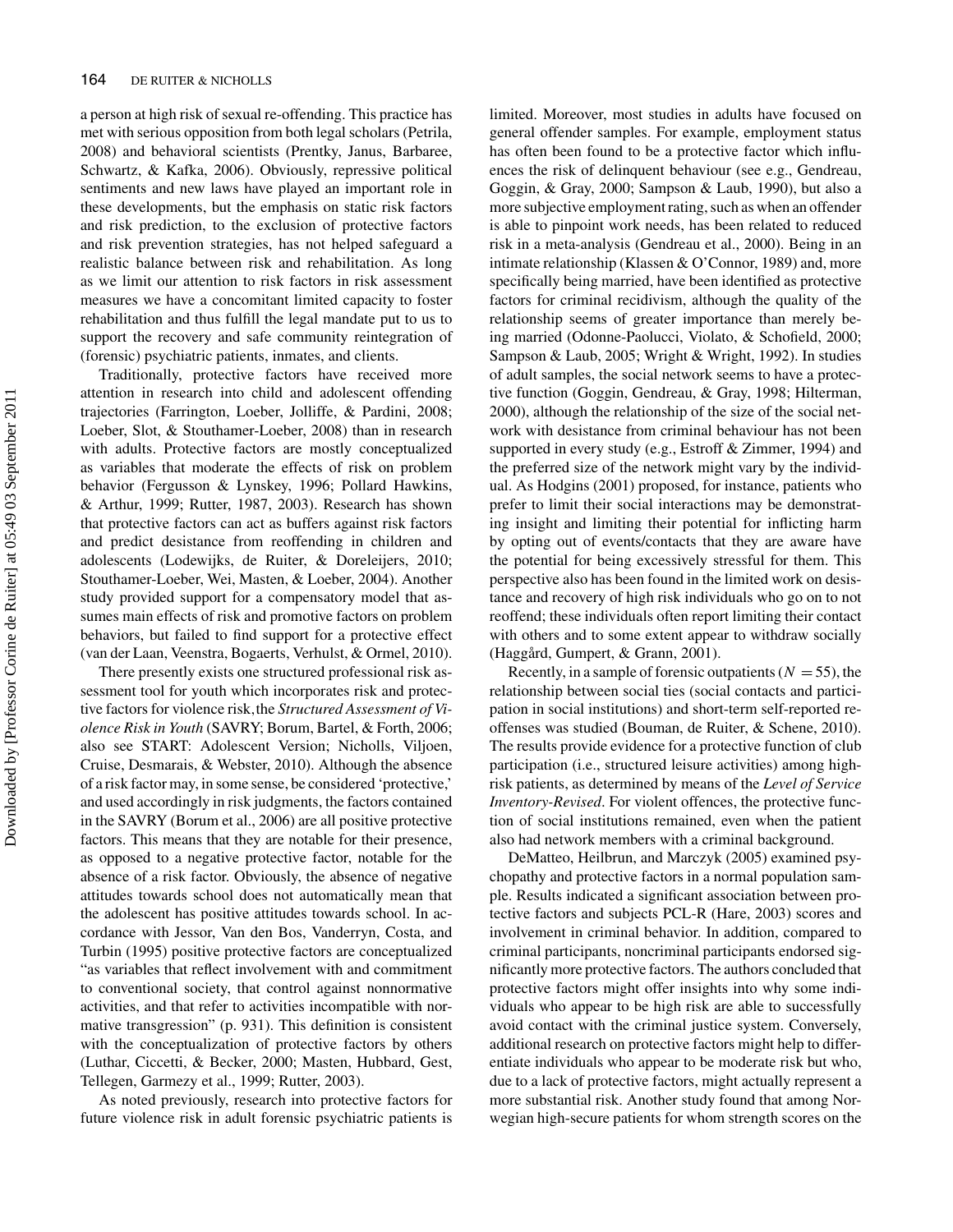a person at high risk of sexual re-offending. This practice has met with serious opposition from both legal scholars (Petrila, 2008) and behavioral scientists (Prentky, Janus, Barbaree, Schwartz, & Kafka, 2006). Obviously, repressive political sentiments and new laws have played an important role in these developments, but the emphasis on static risk factors and risk prediction, to the exclusion of protective factors and risk prevention strategies, has not helped safeguard a realistic balance between risk and rehabilitation. As long as we limit our attention to risk factors in risk assessment measures we have a concomitant limited capacity to foster rehabilitation and thus fulfill the legal mandate put to us to support the recovery and safe community reintegration of (forensic) psychiatric patients, inmates, and clients.

Traditionally, protective factors have received more attention in research into child and adolescent offending trajectories (Farrington, Loeber, Jolliffe, & Pardini, 2008; Loeber, Slot, & Stouthamer-Loeber, 2008) than in research with adults. Protective factors are mostly conceptualized as variables that moderate the effects of risk on problem behavior (Fergusson & Lynskey, 1996; Pollard Hawkins, & Arthur, 1999; Rutter, 1987, 2003). Research has shown that protective factors can act as buffers against risk factors and predict desistance from reoffending in children and adolescents (Lodewijks, de Ruiter, & Doreleijers, 2010; Stouthamer-Loeber, Wei, Masten, & Loeber, 2004). Another study provided support for a compensatory model that assumes main effects of risk and promotive factors on problem behaviors, but failed to find support for a protective effect (van der Laan, Veenstra, Bogaerts, Verhulst, & Ormel, 2010).

There presently exists one structured professional risk assessment tool for youth which incorporates risk and protective factors for violence risk*,*the *Structured Assessment of Violence Risk in Youth* (SAVRY; Borum, Bartel, & Forth, 2006; also see START: Adolescent Version; Nicholls, Viljoen, Cruise, Desmarais, & Webster, 2010). Although the absence of a risk factor may, in some sense, be considered 'protective,' and used accordingly in risk judgments, the factors contained in the SAVRY (Borum et al., 2006) are all positive protective factors. This means that they are notable for their presence, as opposed to a negative protective factor, notable for the absence of a risk factor. Obviously, the absence of negative attitudes towards school does not automatically mean that the adolescent has positive attitudes towards school. In accordance with Jessor, Van den Bos, Vanderryn, Costa, and Turbin (1995) positive protective factors are conceptualized "as variables that reflect involvement with and commitment to conventional society, that control against nonnormative activities, and that refer to activities incompatible with normative transgression" (p. 931). This definition is consistent with the conceptualization of protective factors by others (Luthar, Ciccetti, & Becker, 2000; Masten, Hubbard, Gest, Tellegen, Garmezy et al., 1999; Rutter, 2003).

As noted previously, research into protective factors for future violence risk in adult forensic psychiatric patients is limited. Moreover, most studies in adults have focused on general offender samples. For example, employment status has often been found to be a protective factor which influences the risk of delinquent behaviour (see e.g., Gendreau, Goggin, & Gray, 2000; Sampson & Laub, 1990), but also a more subjective employment rating, such as when an offender is able to pinpoint work needs, has been related to reduced risk in a meta-analysis (Gendreau et al., 2000). Being in an intimate relationship (Klassen & O'Connor, 1989) and, more specifically being married, have been identified as protective factors for criminal recidivism, although the quality of the relationship seems of greater importance than merely being married (Odonne-Paolucci, Violato, & Schofield, 2000; Sampson & Laub, 2005; Wright & Wright, 1992). In studies of adult samples, the social network seems to have a protective function (Goggin, Gendreau, & Gray, 1998; Hilterman, 2000), although the relationship of the size of the social network with desistance from criminal behaviour has not been supported in every study (e.g., Estroff & Zimmer, 1994) and the preferred size of the network might vary by the individual. As Hodgins (2001) proposed, for instance, patients who prefer to limit their social interactions may be demonstrating insight and limiting their potential for inflicting harm by opting out of events/contacts that they are aware have the potential for being excessively stressful for them. This perspective also has been found in the limited work on desistance and recovery of high risk individuals who go on to not reoffend; these individuals often report limiting their contact with others and to some extent appear to withdraw socially (Haggård, Gumpert, & Grann, 2001).

Recently, in a sample of forensic outpatients  $(N = 55)$ , the relationship between social ties (social contacts and participation in social institutions) and short-term self-reported reoffenses was studied (Bouman, de Ruiter, & Schene, 2010). The results provide evidence for a protective function of club participation (i.e., structured leisure activities) among highrisk patients, as determined by means of the *Level of Service Inventory-Revised*. For violent offences, the protective function of social institutions remained, even when the patient also had network members with a criminal background.

DeMatteo, Heilbrun, and Marczyk (2005) examined psychopathy and protective factors in a normal population sample. Results indicated a significant association between protective factors and subjects PCL-R (Hare, 2003) scores and involvement in criminal behavior. In addition, compared to criminal participants, noncriminal participants endorsed significantly more protective factors. The authors concluded that protective factors might offer insights into why some individuals who appear to be high risk are able to successfully avoid contact with the criminal justice system. Conversely, additional research on protective factors might help to differentiate individuals who appear to be moderate risk but who, due to a lack of protective factors, might actually represent a more substantial risk. Another study found that among Norwegian high-secure patients for whom strength scores on the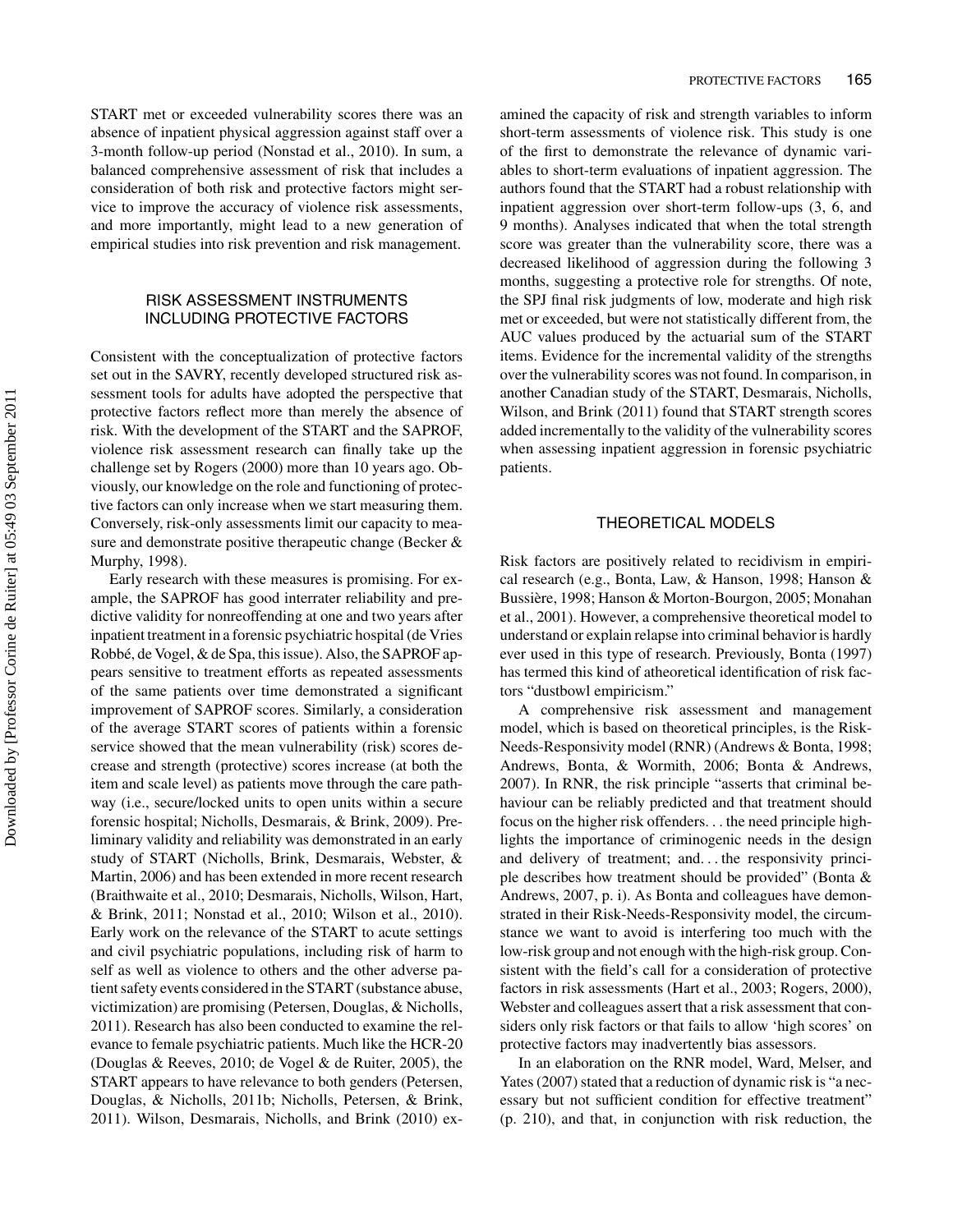START met or exceeded vulnerability scores there was an absence of inpatient physical aggression against staff over a 3-month follow-up period (Nonstad et al., 2010). In sum, a balanced comprehensive assessment of risk that includes a consideration of both risk and protective factors might service to improve the accuracy of violence risk assessments, and more importantly, might lead to a new generation of empirical studies into risk prevention and risk management.

#### RISK ASSESSMENT INSTRUMENTS INCLUDING PROTECTIVE FACTORS

Consistent with the conceptualization of protective factors set out in the SAVRY, recently developed structured risk assessment tools for adults have adopted the perspective that protective factors reflect more than merely the absence of risk. With the development of the START and the SAPROF, violence risk assessment research can finally take up the challenge set by Rogers (2000) more than 10 years ago. Obviously, our knowledge on the role and functioning of protective factors can only increase when we start measuring them. Conversely, risk-only assessments limit our capacity to measure and demonstrate positive therapeutic change (Becker & Murphy, 1998).

Early research with these measures is promising. For example, the SAPROF has good interrater reliability and predictive validity for nonreoffending at one and two years after inpatient treatment in a forensic psychiatric hospital (de Vries Robbé, de Vogel, & de Spa, this issue). Also, the SAPROF appears sensitive to treatment efforts as repeated assessments of the same patients over time demonstrated a significant improvement of SAPROF scores. Similarly, a consideration of the average START scores of patients within a forensic service showed that the mean vulnerability (risk) scores decrease and strength (protective) scores increase (at both the item and scale level) as patients move through the care pathway (i.e., secure/locked units to open units within a secure forensic hospital; Nicholls, Desmarais, & Brink, 2009). Preliminary validity and reliability was demonstrated in an early study of START (Nicholls, Brink, Desmarais, Webster, & Martin, 2006) and has been extended in more recent research (Braithwaite et al., 2010; Desmarais, Nicholls, Wilson, Hart, & Brink, 2011; Nonstad et al., 2010; Wilson et al., 2010). Early work on the relevance of the START to acute settings and civil psychiatric populations, including risk of harm to self as well as violence to others and the other adverse patient safety events considered in the START (substance abuse, victimization) are promising (Petersen, Douglas, & Nicholls, 2011). Research has also been conducted to examine the relevance to female psychiatric patients. Much like the HCR-20 (Douglas & Reeves, 2010; de Vogel & de Ruiter, 2005), the START appears to have relevance to both genders (Petersen, Douglas, & Nicholls, 2011b; Nicholls, Petersen, & Brink, 2011). Wilson, Desmarais, Nicholls, and Brink (2010) ex-

amined the capacity of risk and strength variables to inform short-term assessments of violence risk. This study is one of the first to demonstrate the relevance of dynamic variables to short-term evaluations of inpatient aggression. The authors found that the START had a robust relationship with inpatient aggression over short-term follow-ups (3, 6, and 9 months). Analyses indicated that when the total strength score was greater than the vulnerability score, there was a decreased likelihood of aggression during the following 3 months, suggesting a protective role for strengths. Of note, the SPJ final risk judgments of low, moderate and high risk met or exceeded, but were not statistically different from, the AUC values produced by the actuarial sum of the START items. Evidence for the incremental validity of the strengths over the vulnerability scores was not found. In comparison, in another Canadian study of the START, Desmarais, Nicholls, Wilson, and Brink (2011) found that START strength scores added incrementally to the validity of the vulnerability scores when assessing inpatient aggression in forensic psychiatric patients.

#### THEORETICAL MODELS

Risk factors are positively related to recidivism in empirical research (e.g., Bonta, Law, & Hanson, 1998; Hanson & Bussiere, 1998; Hanson & Morton-Bourgon, 2005; Monahan ` et al., 2001). However, a comprehensive theoretical model to understand or explain relapse into criminal behavior is hardly ever used in this type of research. Previously, Bonta (1997) has termed this kind of atheoretical identification of risk factors "dustbowl empiricism."

A comprehensive risk assessment and management model, which is based on theoretical principles, is the Risk-Needs-Responsivity model (RNR) (Andrews & Bonta, 1998; Andrews, Bonta, & Wormith, 2006; Bonta & Andrews, 2007). In RNR, the risk principle "asserts that criminal behaviour can be reliably predicted and that treatment should focus on the higher risk offenders. . . the need principle highlights the importance of criminogenic needs in the design and delivery of treatment; and. . . the responsivity principle describes how treatment should be provided" (Bonta & Andrews, 2007, p. i). As Bonta and colleagues have demonstrated in their Risk-Needs-Responsivity model, the circumstance we want to avoid is interfering too much with the low-risk group and not enough with the high-risk group. Consistent with the field's call for a consideration of protective factors in risk assessments (Hart et al., 2003; Rogers, 2000), Webster and colleagues assert that a risk assessment that considers only risk factors or that fails to allow 'high scores' on protective factors may inadvertently bias assessors.

In an elaboration on the RNR model, Ward, Melser, and Yates (2007) stated that a reduction of dynamic risk is "a necessary but not sufficient condition for effective treatment" (p. 210), and that, in conjunction with risk reduction, the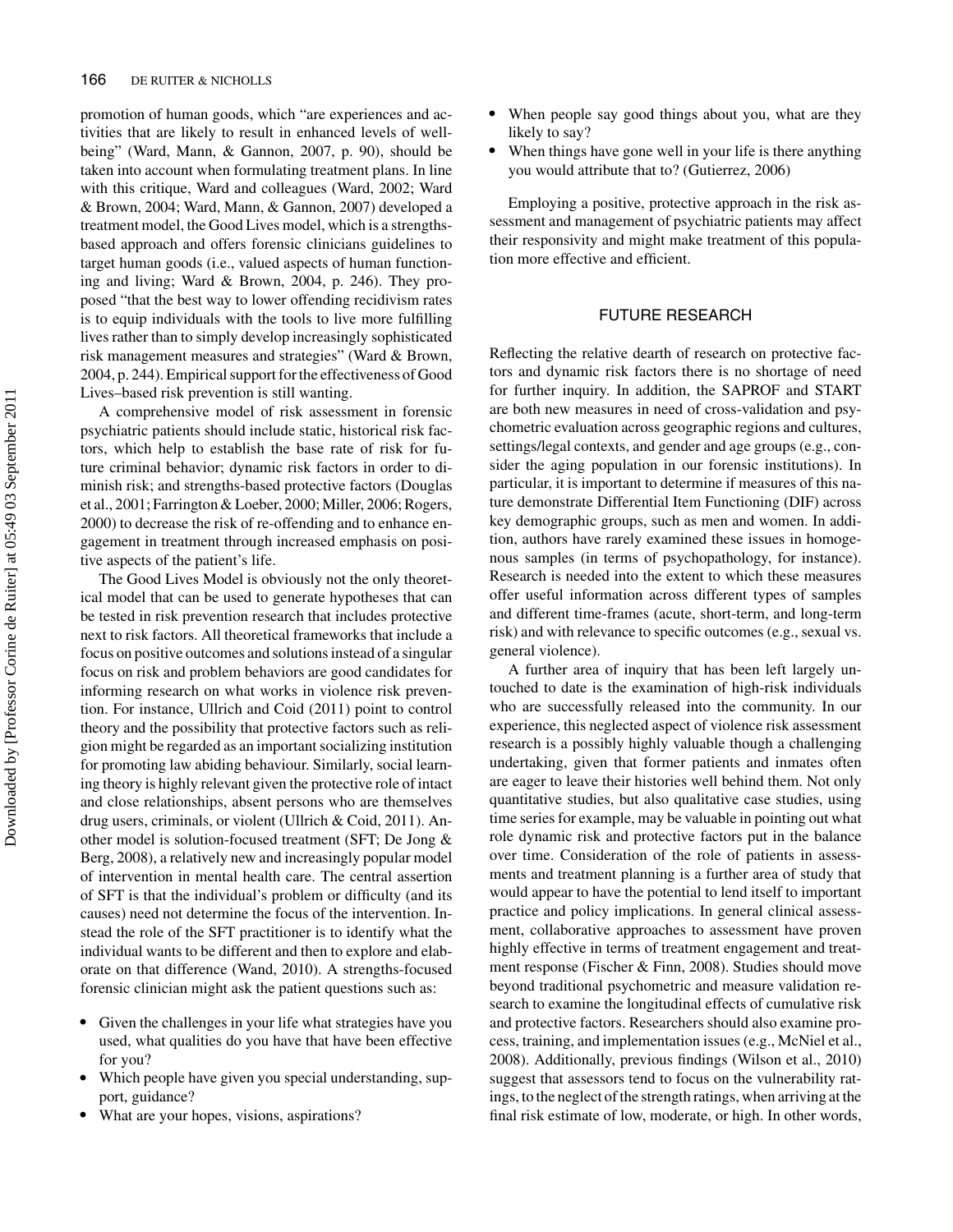promotion of human goods, which "are experiences and activities that are likely to result in enhanced levels of wellbeing" (Ward, Mann, & Gannon, 2007, p. 90), should be taken into account when formulating treatment plans. In line with this critique, Ward and colleagues (Ward, 2002; Ward & Brown, 2004; Ward, Mann, & Gannon, 2007) developed a treatment model, the Good Lives model, which is a strengthsbased approach and offers forensic clinicians guidelines to target human goods (i.e., valued aspects of human functioning and living; Ward & Brown, 2004, p. 246). They proposed "that the best way to lower offending recidivism rates is to equip individuals with the tools to live more fulfilling lives rather than to simply develop increasingly sophisticated risk management measures and strategies" (Ward & Brown, 2004, p. 244). Empirical support for the effectiveness of Good Lives–based risk prevention is still wanting.

A comprehensive model of risk assessment in forensic psychiatric patients should include static, historical risk factors, which help to establish the base rate of risk for future criminal behavior; dynamic risk factors in order to diminish risk; and strengths-based protective factors (Douglas et al., 2001; Farrington & Loeber, 2000; Miller, 2006; Rogers, 2000) to decrease the risk of re-offending and to enhance engagement in treatment through increased emphasis on positive aspects of the patient's life.

The Good Lives Model is obviously not the only theoretical model that can be used to generate hypotheses that can be tested in risk prevention research that includes protective next to risk factors. All theoretical frameworks that include a focus on positive outcomes and solutions instead of a singular focus on risk and problem behaviors are good candidates for informing research on what works in violence risk prevention. For instance, Ullrich and Coid (2011) point to control theory and the possibility that protective factors such as religion might be regarded as an important socializing institution for promoting law abiding behaviour. Similarly, social learning theory is highly relevant given the protective role of intact and close relationships, absent persons who are themselves drug users, criminals, or violent (Ullrich & Coid, 2011). Another model is solution-focused treatment (SFT; De Jong & Berg, 2008), a relatively new and increasingly popular model of intervention in mental health care. The central assertion of SFT is that the individual's problem or difficulty (and its causes) need not determine the focus of the intervention. Instead the role of the SFT practitioner is to identify what the individual wants to be different and then to explore and elaborate on that difference (Wand, 2010). A strengths-focused forensic clinician might ask the patient questions such as:

- Given the challenges in your life what strategies have you used, what qualities do you have that have been effective for you?
- Which people have given you special understanding, support, guidance?
- What are your hopes, visions, aspirations?
- When people say good things about you, what are they likely to say?
- When things have gone well in your life is there anything you would attribute that to? (Gutierrez, 2006)

Employing a positive, protective approach in the risk assessment and management of psychiatric patients may affect their responsivity and might make treatment of this population more effective and efficient.

#### FUTURE RESEARCH

Reflecting the relative dearth of research on protective factors and dynamic risk factors there is no shortage of need for further inquiry. In addition, the SAPROF and START are both new measures in need of cross-validation and psychometric evaluation across geographic regions and cultures, settings/legal contexts, and gender and age groups (e.g., consider the aging population in our forensic institutions). In particular, it is important to determine if measures of this nature demonstrate Differential Item Functioning (DIF) across key demographic groups, such as men and women. In addition, authors have rarely examined these issues in homogenous samples (in terms of psychopathology, for instance). Research is needed into the extent to which these measures offer useful information across different types of samples and different time-frames (acute, short-term, and long-term risk) and with relevance to specific outcomes (e.g., sexual vs. general violence).

A further area of inquiry that has been left largely untouched to date is the examination of high-risk individuals who are successfully released into the community. In our experience, this neglected aspect of violence risk assessment research is a possibly highly valuable though a challenging undertaking, given that former patients and inmates often are eager to leave their histories well behind them. Not only quantitative studies, but also qualitative case studies, using time series for example, may be valuable in pointing out what role dynamic risk and protective factors put in the balance over time. Consideration of the role of patients in assessments and treatment planning is a further area of study that would appear to have the potential to lend itself to important practice and policy implications. In general clinical assessment, collaborative approaches to assessment have proven highly effective in terms of treatment engagement and treatment response (Fischer & Finn, 2008). Studies should move beyond traditional psychometric and measure validation research to examine the longitudinal effects of cumulative risk and protective factors. Researchers should also examine process, training, and implementation issues (e.g., McNiel et al., 2008). Additionally, previous findings (Wilson et al., 2010) suggest that assessors tend to focus on the vulnerability ratings, to the neglect of the strength ratings, when arriving at the final risk estimate of low, moderate, or high. In other words,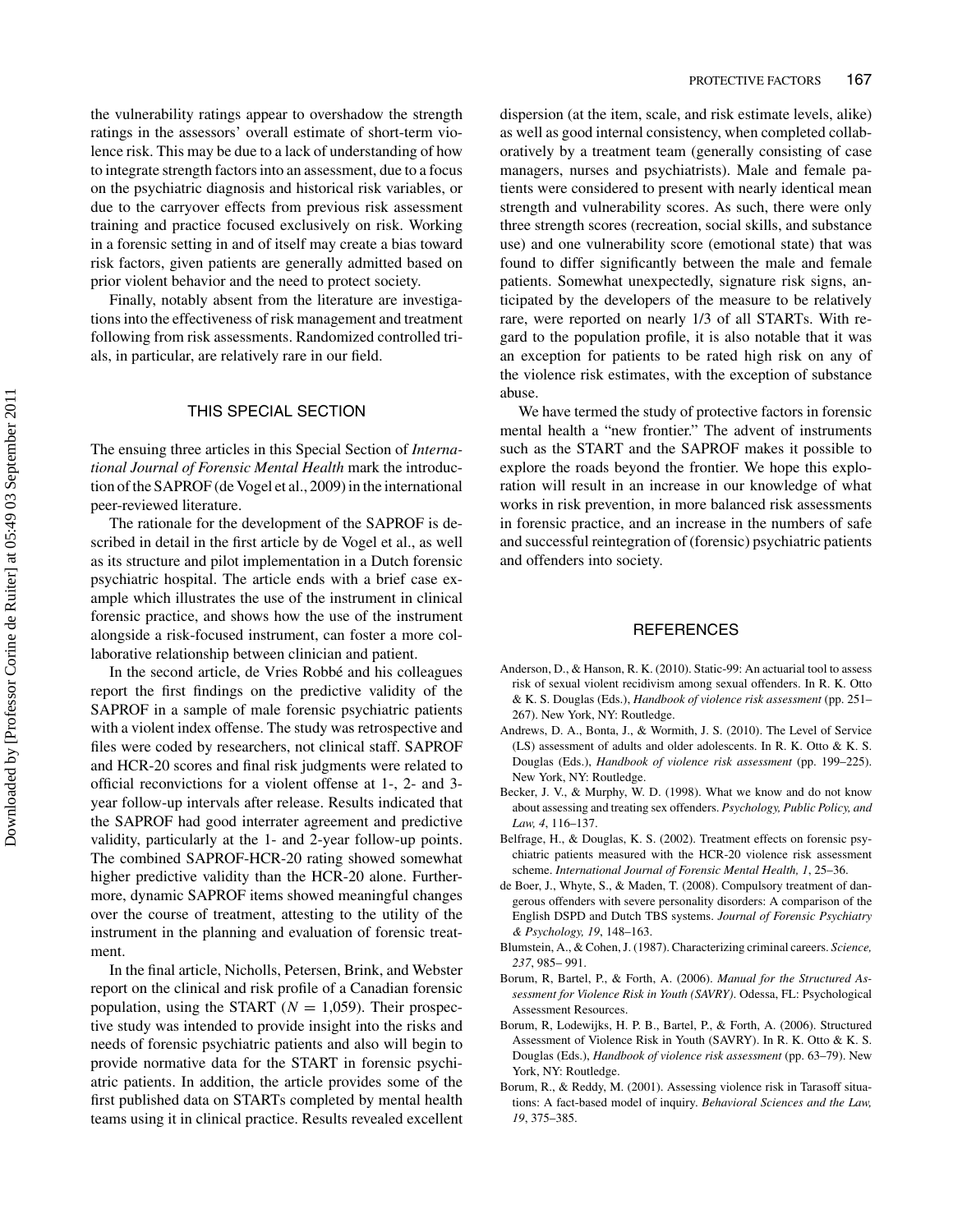the vulnerability ratings appear to overshadow the strength ratings in the assessors' overall estimate of short-term violence risk. This may be due to a lack of understanding of how to integrate strength factors into an assessment, due to a focus on the psychiatric diagnosis and historical risk variables, or due to the carryover effects from previous risk assessment training and practice focused exclusively on risk. Working in a forensic setting in and of itself may create a bias toward risk factors, given patients are generally admitted based on prior violent behavior and the need to protect society.

Finally, notably absent from the literature are investigations into the effectiveness of risk management and treatment following from risk assessments. Randomized controlled trials, in particular, are relatively rare in our field.

#### THIS SPECIAL SECTION

The ensuing three articles in this Special Section of *International Journal of Forensic Mental Health* mark the introduction of the SAPROF (de Vogel et al., 2009) in the international peer-reviewed literature.

The rationale for the development of the SAPROF is described in detail in the first article by de Vogel et al., as well as its structure and pilot implementation in a Dutch forensic psychiatric hospital. The article ends with a brief case example which illustrates the use of the instrument in clinical forensic practice, and shows how the use of the instrument alongside a risk-focused instrument, can foster a more collaborative relationship between clinician and patient.

In the second article, de Vries Robbé and his colleagues report the first findings on the predictive validity of the SAPROF in a sample of male forensic psychiatric patients with a violent index offense. The study was retrospective and files were coded by researchers, not clinical staff. SAPROF and HCR-20 scores and final risk judgments were related to official reconvictions for a violent offense at 1-, 2- and 3 year follow-up intervals after release. Results indicated that the SAPROF had good interrater agreement and predictive validity, particularly at the 1- and 2-year follow-up points. The combined SAPROF-HCR-20 rating showed somewhat higher predictive validity than the HCR-20 alone. Furthermore, dynamic SAPROF items showed meaningful changes over the course of treatment, attesting to the utility of the instrument in the planning and evaluation of forensic treatment.

In the final article, Nicholls, Petersen, Brink, and Webster report on the clinical and risk profile of a Canadian forensic population, using the START ( $N = 1,059$ ). Their prospective study was intended to provide insight into the risks and needs of forensic psychiatric patients and also will begin to provide normative data for the START in forensic psychiatric patients. In addition, the article provides some of the first published data on STARTs completed by mental health teams using it in clinical practice. Results revealed excellent

dispersion (at the item, scale, and risk estimate levels, alike) as well as good internal consistency, when completed collaboratively by a treatment team (generally consisting of case managers, nurses and psychiatrists). Male and female patients were considered to present with nearly identical mean strength and vulnerability scores. As such, there were only three strength scores (recreation, social skills, and substance use) and one vulnerability score (emotional state) that was found to differ significantly between the male and female patients. Somewhat unexpectedly, signature risk signs, anticipated by the developers of the measure to be relatively rare, were reported on nearly 1/3 of all STARTs. With regard to the population profile, it is also notable that it was an exception for patients to be rated high risk on any of the violence risk estimates, with the exception of substance abuse.

We have termed the study of protective factors in forensic mental health a "new frontier." The advent of instruments such as the START and the SAPROF makes it possible to explore the roads beyond the frontier. We hope this exploration will result in an increase in our knowledge of what works in risk prevention, in more balanced risk assessments in forensic practice, and an increase in the numbers of safe and successful reintegration of (forensic) psychiatric patients and offenders into society.

#### **REFERENCES**

- Anderson, D., & Hanson, R. K. (2010). Static-99: An actuarial tool to assess risk of sexual violent recidivism among sexual offenders. In R. K. Otto & K. S. Douglas (Eds.), *Handbook of violence risk assessment* (pp. 251– 267). New York, NY: Routledge.
- Andrews, D. A., Bonta, J., & Wormith, J. S. (2010). The Level of Service (LS) assessment of adults and older adolescents. In R. K. Otto & K. S. Douglas (Eds.), *Handbook of violence risk assessment* (pp. 199–225). New York, NY: Routledge.
- Becker, J. V., & Murphy, W. D. (1998). What we know and do not know about assessing and treating sex offenders. *Psychology, Public Policy, and Law, 4*, 116–137.
- Belfrage, H., & Douglas, K. S. (2002). Treatment effects on forensic psychiatric patients measured with the HCR-20 violence risk assessment scheme. *International Journal of Forensic Mental Health, 1*, 25–36.
- de Boer, J., Whyte, S., & Maden, T. (2008). Compulsory treatment of dangerous offenders with severe personality disorders: A comparison of the English DSPD and Dutch TBS systems. *Journal of Forensic Psychiatry & Psychology, 19*, 148–163.
- Blumstein, A., & Cohen, J. (1987). Characterizing criminal careers. *Science, 237*, 985– 991.
- Borum, R, Bartel, P., & Forth, A. (2006). *Manual for the Structured Assessment for Violence Risk in Youth (SAVRY)*. Odessa, FL: Psychological Assessment Resources.
- Borum, R, Lodewijks, H. P. B., Bartel, P., & Forth, A. (2006). Structured Assessment of Violence Risk in Youth (SAVRY). In R. K. Otto & K. S. Douglas (Eds.), *Handbook of violence risk assessment* (pp. 63–79). New York, NY: Routledge.
- Borum, R., & Reddy, M. (2001). Assessing violence risk in Tarasoff situations: A fact-based model of inquiry. *Behavioral Sciences and the Law, 19*, 375–385.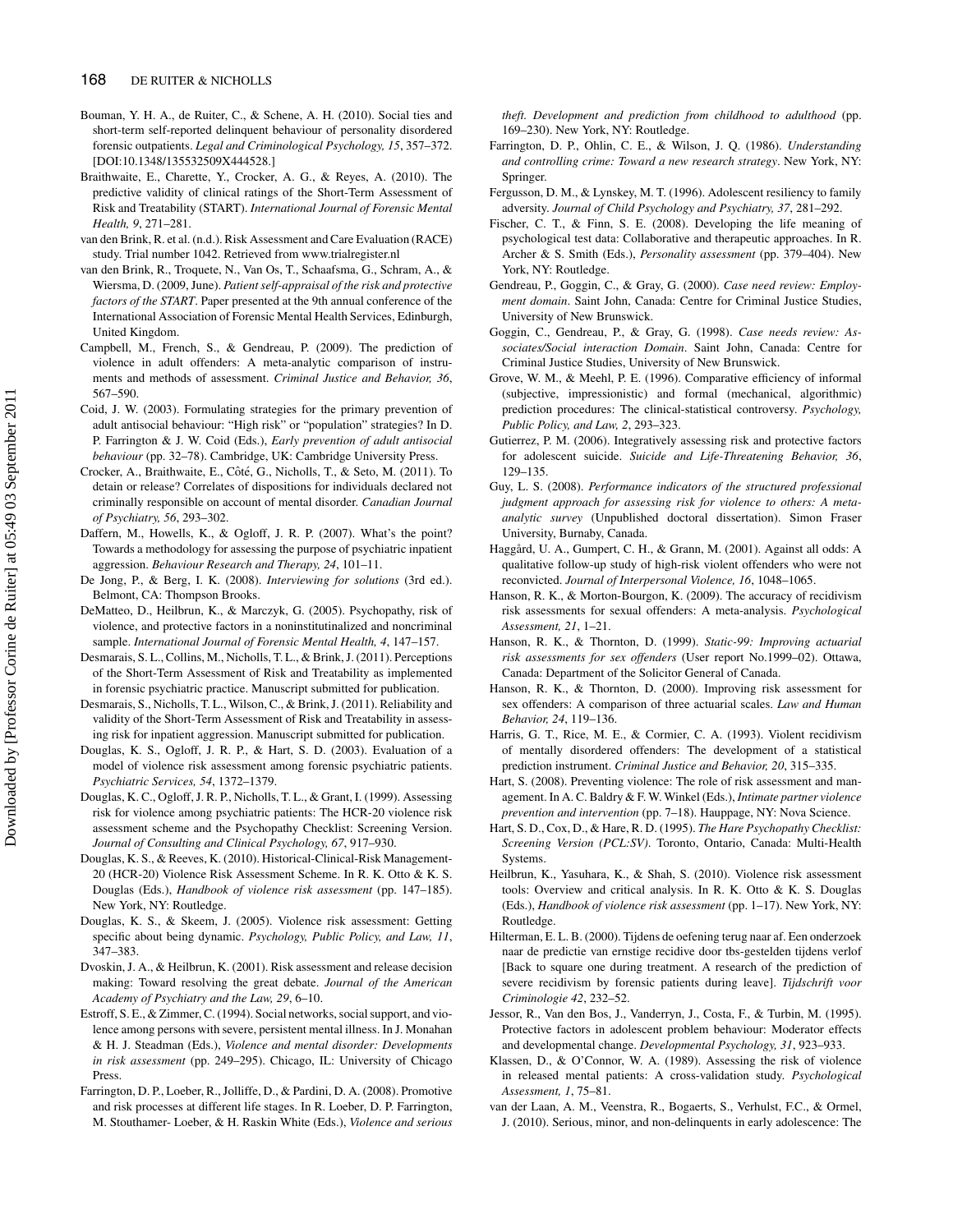- Bouman, Y. H. A., de Ruiter, C., & Schene, A. H. (2010). Social ties and short-term self-reported delinquent behaviour of personality disordered forensic outpatients. *Legal and Criminological Psychology, 15*, 357–372. [DOI:10.1348/135532509X444528.]
- Braithwaite, E., Charette, Y., Crocker, A. G., & Reyes, A. (2010). The predictive validity of clinical ratings of the Short-Term Assessment of Risk and Treatability (START). *International Journal of Forensic Mental Health, 9*, 271–281.
- van den Brink, R. et al. (n.d.). Risk Assessment and Care Evaluation (RACE) study. Trial number 1042. Retrieved from www.trialregister.nl
- van den Brink, R., Troquete, N., Van Os, T., Schaafsma, G., Schram, A., & Wiersma, D. (2009, June). *Patient self-appraisal of the risk and protective factors of the START*. Paper presented at the 9th annual conference of the International Association of Forensic Mental Health Services, Edinburgh, United Kingdom.
- Campbell, M., French, S., & Gendreau, P. (2009). The prediction of violence in adult offenders: A meta-analytic comparison of instruments and methods of assessment. *Criminal Justice and Behavior, 36*, 567–590.
- Coid, J. W. (2003). Formulating strategies for the primary prevention of adult antisocial behaviour: "High risk" or "population" strategies? In D. P. Farrington & J. W. Coid (Eds.), *Early prevention of adult antisocial behaviour* (pp. 32–78). Cambridge, UK: Cambridge University Press.
- Crocker, A., Braithwaite, E., Côté, G., Nicholls, T., & Seto, M. (2011). To detain or release? Correlates of dispositions for individuals declared not criminally responsible on account of mental disorder. *Canadian Journal of Psychiatry, 56*, 293–302.
- Daffern, M., Howells, K., & Ogloff, J. R. P. (2007). What's the point? Towards a methodology for assessing the purpose of psychiatric inpatient aggression. *Behaviour Research and Therapy, 24*, 101–11.
- De Jong, P., & Berg, I. K. (2008). *Interviewing for solutions* (3rd ed.). Belmont, CA: Thompson Brooks.
- DeMatteo, D., Heilbrun, K., & Marczyk, G. (2005). Psychopathy, risk of violence, and protective factors in a noninstitutinalized and noncriminal sample. *International Journal of Forensic Mental Health, 4*, 147–157.
- Desmarais, S. L., Collins, M., Nicholls, T. L., & Brink, J. (2011). Perceptions of the Short-Term Assessment of Risk and Treatability as implemented in forensic psychiatric practice. Manuscript submitted for publication.
- Desmarais, S., Nicholls, T. L., Wilson, C., & Brink, J. (2011). Reliability and validity of the Short-Term Assessment of Risk and Treatability in assessing risk for inpatient aggression. Manuscript submitted for publication.
- Douglas, K. S., Ogloff, J. R. P., & Hart, S. D. (2003). Evaluation of a model of violence risk assessment among forensic psychiatric patients. *Psychiatric Services, 54*, 1372–1379.
- Douglas, K. C., Ogloff, J. R. P., Nicholls, T. L., & Grant, I. (1999). Assessing risk for violence among psychiatric patients: The HCR-20 violence risk assessment scheme and the Psychopathy Checklist: Screening Version. *Journal of Consulting and Clinical Psychology, 67*, 917–930.
- Douglas, K. S., & Reeves, K. (2010). Historical-Clinical-Risk Management-20 (HCR-20) Violence Risk Assessment Scheme. In R. K. Otto & K. S. Douglas (Eds.), *Handbook of violence risk assessment* (pp. 147–185). New York, NY: Routledge.
- Douglas, K. S., & Skeem, J. (2005). Violence risk assessment: Getting specific about being dynamic. *Psychology, Public Policy, and Law, 11*, 347–383.
- Dvoskin, J. A., & Heilbrun, K. (2001). Risk assessment and release decision making: Toward resolving the great debate. *Journal of the American Academy of Psychiatry and the Law, 29*, 6–10.
- Estroff, S. E., & Zimmer, C. (1994). Social networks, social support, and violence among persons with severe, persistent mental illness. In J. Monahan & H. J. Steadman (Eds.), *Violence and mental disorder: Developments in risk assessment* (pp. 249–295). Chicago, IL: University of Chicago Press.
- Farrington, D. P., Loeber, R., Jolliffe, D., & Pardini, D. A. (2008). Promotive and risk processes at different life stages. In R. Loeber, D. P. Farrington, M. Stouthamer- Loeber, & H. Raskin White (Eds.), *Violence and serious*

*theft. Development and prediction from childhood to adulthood* (pp. 169–230). New York, NY: Routledge.

- Farrington, D. P., Ohlin, C. E., & Wilson, J. Q. (1986). *Understanding and controlling crime: Toward a new research strategy*. New York, NY: Springer.
- Fergusson, D. M., & Lynskey, M. T. (1996). Adolescent resiliency to family adversity. *Journal of Child Psychology and Psychiatry, 37*, 281–292.
- Fischer, C. T., & Finn, S. E. (2008). Developing the life meaning of psychological test data: Collaborative and therapeutic approaches. In R. Archer & S. Smith (Eds.), *Personality assessment* (pp. 379–404). New York, NY: Routledge.
- Gendreau, P., Goggin, C., & Gray, G. (2000). *Case need review: Employment domain*. Saint John, Canada: Centre for Criminal Justice Studies, University of New Brunswick.
- Goggin, C., Gendreau, P., & Gray, G. (1998). *Case needs review: Associates/Social interaction Domain*. Saint John, Canada: Centre for Criminal Justice Studies, University of New Brunswick.
- Grove, W. M., & Meehl, P. E. (1996). Comparative efficiency of informal (subjective, impressionistic) and formal (mechanical, algorithmic) prediction procedures: The clinical-statistical controversy. *Psychology, Public Policy, and Law, 2*, 293–323.
- Gutierrez, P. M. (2006). Integratively assessing risk and protective factors for adolescent suicide. *Suicide and Life-Threatening Behavior, 36*, 129–135.
- Guy, L. S. (2008). *Performance indicators of the structured professional judgment approach for assessing risk for violence to others: A metaanalytic survey* (Unpublished doctoral dissertation). Simon Fraser University, Burnaby, Canada.
- Haggård, U. A., Gumpert, C. H., & Grann, M. (2001). Against all odds: A qualitative follow-up study of high-risk violent offenders who were not reconvicted. *Journal of Interpersonal Violence, 16*, 1048–1065.
- Hanson, R. K., & Morton-Bourgon, K. (2009). The accuracy of recidivism risk assessments for sexual offenders: A meta-analysis. *Psychological Assessment, 21*, 1–21.
- Hanson, R. K., & Thornton, D. (1999). *Static-99: Improving actuarial risk assessments for sex offenders* (User report No.1999–02). Ottawa, Canada: Department of the Solicitor General of Canada.
- Hanson, R. K., & Thornton, D. (2000). Improving risk assessment for sex offenders: A comparison of three actuarial scales. *Law and Human Behavior, 24*, 119–136.
- Harris, G. T., Rice, M. E., & Cormier, C. A. (1993). Violent recidivism of mentally disordered offenders: The development of a statistical prediction instrument. *Criminal Justice and Behavior, 20*, 315–335.
- Hart, S. (2008). Preventing violence: The role of risk assessment and management. In A. C. Baldry & F. W. Winkel (Eds.), *Intimate partner violence prevention and intervention* (pp. 7–18). Hauppage, NY: Nova Science.
- Hart, S. D., Cox, D., & Hare, R. D. (1995). *The Hare Psychopathy Checklist: Screening Version (PCL:SV)*. Toronto, Ontario, Canada: Multi-Health Systems.
- Heilbrun, K., Yasuhara, K., & Shah, S. (2010). Violence risk assessment tools: Overview and critical analysis. In R. K. Otto & K. S. Douglas (Eds.), *Handbook of violence risk assessment* (pp. 1–17). New York, NY: Routledge.
- Hilterman, E. L. B. (2000). Tijdens de oefening terug naar af. Een onderzoek naar de predictie van ernstige recidive door tbs-gestelden tijdens verlof [Back to square one during treatment. A research of the prediction of severe recidivism by forensic patients during leave]. *Tijdschrift voor Criminologie 42*, 232–52.
- Jessor, R., Van den Bos, J., Vanderryn, J., Costa, F., & Turbin, M. (1995). Protective factors in adolescent problem behaviour: Moderator effects and developmental change. *Developmental Psychology, 31*, 923–933.
- Klassen, D., & O'Connor, W. A. (1989). Assessing the risk of violence in released mental patients: A cross-validation study. *Psychological Assessment, 1*, 75–81.
- van der Laan, A. M., Veenstra, R., Bogaerts, S., Verhulst, F.C., & Ormel, J. (2010). Serious, minor, and non-delinquents in early adolescence: The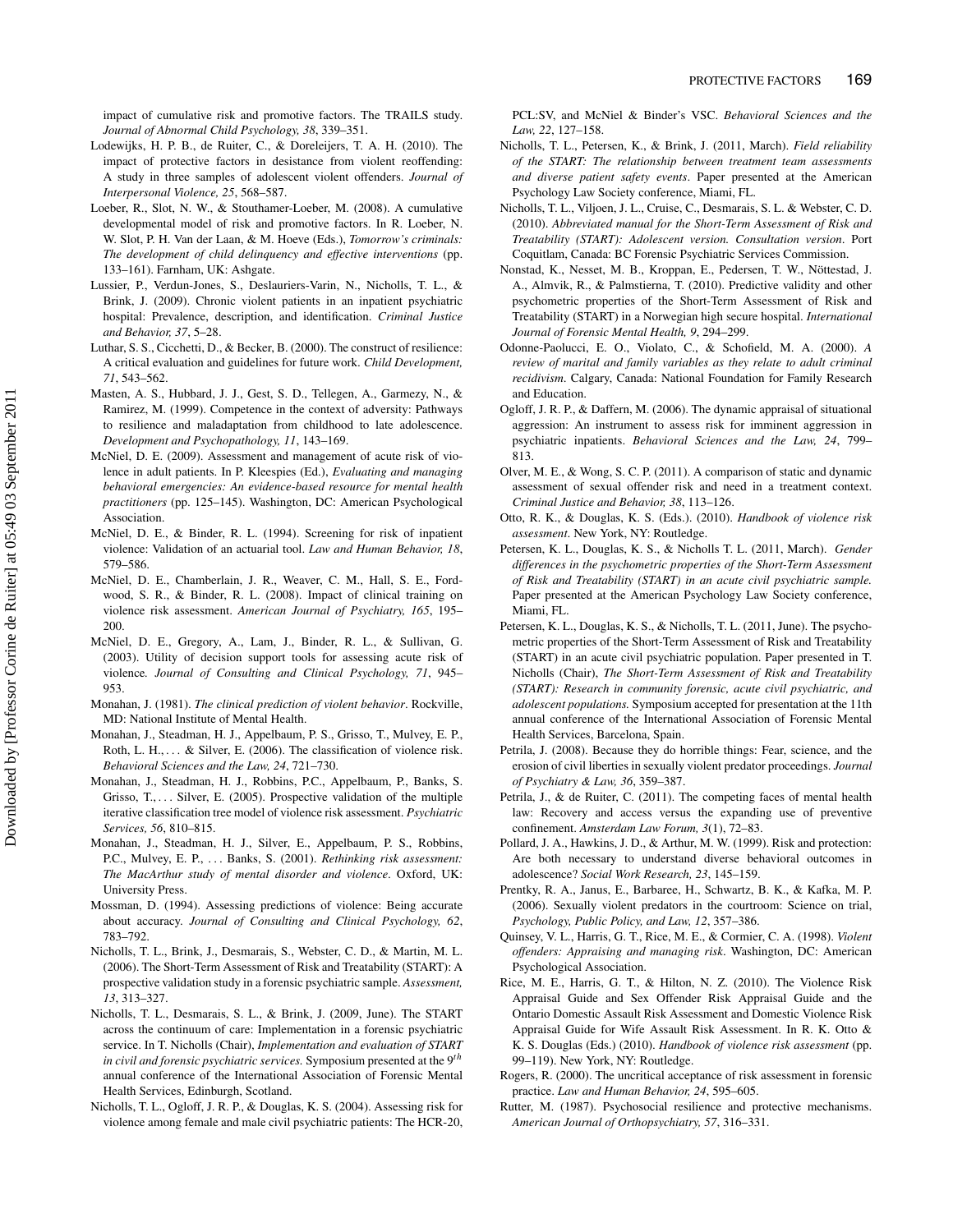impact of cumulative risk and promotive factors. The TRAILS study. *Journal of Abnormal Child Psychology, 38*, 339–351.

- Lodewijks, H. P. B., de Ruiter, C., & Doreleijers, T. A. H. (2010). The impact of protective factors in desistance from violent reoffending: A study in three samples of adolescent violent offenders. *Journal of Interpersonal Violence, 25*, 568–587.
- Loeber, R., Slot, N. W., & Stouthamer-Loeber, M. (2008). A cumulative developmental model of risk and promotive factors. In R. Loeber, N. W. Slot, P. H. Van der Laan, & M. Hoeve (Eds.), *Tomorrow's criminals: The development of child delinquency and effective interventions* (pp. 133–161). Farnham, UK: Ashgate.
- Lussier, P., Verdun-Jones, S., Deslauriers-Varin, N., Nicholls, T. L., & Brink, J. (2009). Chronic violent patients in an inpatient psychiatric hospital: Prevalence, description, and identification. *Criminal Justice and Behavior, 37*, 5–28.
- Luthar, S. S., Cicchetti, D., & Becker, B. (2000). The construct of resilience: A critical evaluation and guidelines for future work. *Child Development, 71*, 543–562.
- Masten, A. S., Hubbard, J. J., Gest, S. D., Tellegen, A., Garmezy, N., & Ramirez, M. (1999). Competence in the context of adversity: Pathways to resilience and maladaptation from childhood to late adolescence. *Development and Psychopathology, 11*, 143–169.
- McNiel, D. E. (2009). Assessment and management of acute risk of violence in adult patients. In P. Kleespies (Ed.), *Evaluating and managing behavioral emergencies: An evidence-based resource for mental health practitioners* (pp. 125–145). Washington, DC: American Psychological Association.
- McNiel, D. E., & Binder, R. L. (1994). Screening for risk of inpatient violence: Validation of an actuarial tool. *Law and Human Behavior, 18*, 579–586.
- McNiel, D. E., Chamberlain, J. R., Weaver, C. M., Hall, S. E., Fordwood, S. R., & Binder, R. L. (2008). Impact of clinical training on violence risk assessment. *American Journal of Psychiatry, 165*, 195– 200.
- McNiel, D. E., Gregory, A., Lam, J., Binder, R. L., & Sullivan, G. (2003). Utility of decision support tools for assessing acute risk of violence*. Journal of Consulting and Clinical Psychology, 71*, 945– 953.
- Monahan, J. (1981). *The clinical prediction of violent behavior*. Rockville, MD: National Institute of Mental Health.
- Monahan, J., Steadman, H. J., Appelbaum, P. S., Grisso, T., Mulvey, E. P., Roth, L. H., ... & Silver, E. (2006). The classification of violence risk. *Behavioral Sciences and the Law, 24*, 721–730.
- Monahan, J., Steadman, H. J., Robbins, P.C., Appelbaum, P., Banks, S. Grisso, T., . . . Silver, E. (2005). Prospective validation of the multiple iterative classification tree model of violence risk assessment. *Psychiatric Services, 56*, 810–815.
- Monahan, J., Steadman, H. J., Silver, E., Appelbaum, P. S., Robbins, P.C., Mulvey, E. P., . . . Banks, S. (2001). *Rethinking risk assessment: The MacArthur study of mental disorder and violence*. Oxford, UK: University Press.
- Mossman, D. (1994). Assessing predictions of violence: Being accurate about accuracy. *Journal of Consulting and Clinical Psychology, 62*, 783–792.
- Nicholls, T. L., Brink, J., Desmarais, S., Webster, C. D., & Martin, M. L. (2006). The Short-Term Assessment of Risk and Treatability (START): A prospective validation study in a forensic psychiatric sample. *Assessment, 13*, 313–327.
- Nicholls, T. L., Desmarais, S. L., & Brink, J. (2009, June). The START across the continuum of care: Implementation in a forensic psychiatric service. In T. Nicholls (Chair), *Implementation and evaluation of START in civil and forensic psychiatric services.* Symposium presented at the 9*th* annual conference of the International Association of Forensic Mental Health Services, Edinburgh, Scotland.
- Nicholls, T. L., Ogloff, J. R. P., & Douglas, K. S. (2004). Assessing risk for violence among female and male civil psychiatric patients: The HCR-20,

PCL:SV, and McNiel & Binder's VSC. *Behavioral Sciences and the Law, 22*, 127–158.

- Nicholls, T. L., Petersen, K., & Brink, J. (2011, March). *Field reliability of the START: The relationship between treatment team assessments and diverse patient safety events*. Paper presented at the American Psychology Law Society conference, Miami, FL.
- Nicholls, T. L., Viljoen, J. L., Cruise, C., Desmarais, S. L. & Webster, C. D. (2010). *Abbreviated manual for the Short-Term Assessment of Risk and Treatability (START): Adolescent version. Consultation version*. Port Coquitlam, Canada: BC Forensic Psychiatric Services Commission.
- Nonstad, K., Nesset, M. B., Kroppan, E., Pedersen, T. W., Nottestad, J. ¨ A., Almvik, R., & Palmstierna, T. (2010). Predictive validity and other psychometric properties of the Short-Term Assessment of Risk and Treatability (START) in a Norwegian high secure hospital. *International Journal of Forensic Mental Health, 9*, 294–299.
- Odonne-Paolucci, E. O., Violato, C., & Schofield, M. A. (2000). *A review of marital and family variables as they relate to adult criminal recidivism*. Calgary, Canada: National Foundation for Family Research and Education.
- Ogloff, J. R. P., & Daffern, M. (2006). The dynamic appraisal of situational aggression: An instrument to assess risk for imminent aggression in psychiatric inpatients. *Behavioral Sciences and the Law, 24*, 799– 813.
- Olver, M. E., & Wong, S. C. P. (2011). A comparison of static and dynamic assessment of sexual offender risk and need in a treatment context. *Criminal Justice and Behavior, 38*, 113–126.
- Otto, R. K., & Douglas, K. S. (Eds.). (2010). *Handbook of violence risk assessment*. New York, NY: Routledge.
- Petersen, K. L., Douglas, K. S., & Nicholls T. L. (2011, March). *Gender differences in the psychometric properties of the Short-Term Assessment of Risk and Treatability (START) in an acute civil psychiatric sample.* Paper presented at the American Psychology Law Society conference, Miami, FL.
- Petersen, K. L., Douglas, K. S., & Nicholls, T. L. (2011, June). The psychometric properties of the Short-Term Assessment of Risk and Treatability (START) in an acute civil psychiatric population. Paper presented in T. Nicholls (Chair), *The Short-Term Assessment of Risk and Treatability (START): Research in community forensic, acute civil psychiatric, and adolescent populations.* Symposium accepted for presentation at the 11th annual conference of the International Association of Forensic Mental Health Services, Barcelona, Spain.
- Petrila, J. (2008). Because they do horrible things: Fear, science, and the erosion of civil liberties in sexually violent predator proceedings. *Journal of Psychiatry & Law, 36*, 359–387.
- Petrila, J., & de Ruiter, C. (2011). The competing faces of mental health law: Recovery and access versus the expanding use of preventive confinement. *Amsterdam Law Forum, 3*(1), 72–83.
- Pollard, J. A., Hawkins, J. D., & Arthur, M. W. (1999). Risk and protection: Are both necessary to understand diverse behavioral outcomes in adolescence? *Social Work Research, 23*, 145–159.
- Prentky, R. A., Janus, E., Barbaree, H., Schwartz, B. K., & Kafka, M. P. (2006). Sexually violent predators in the courtroom: Science on trial, *Psychology, Public Policy, and Law, 12*, 357–386.
- Quinsey, V. L., Harris, G. T., Rice, M. E., & Cormier, C. A. (1998). *Violent offenders: Appraising and managing risk*. Washington, DC: American Psychological Association.
- Rice, M. E., Harris, G. T., & Hilton, N. Z. (2010). The Violence Risk Appraisal Guide and Sex Offender Risk Appraisal Guide and the Ontario Domestic Assault Risk Assessment and Domestic Violence Risk Appraisal Guide for Wife Assault Risk Assessment. In R. K. Otto & K. S. Douglas (Eds.) (2010). *Handbook of violence risk assessment* (pp. 99–119). New York, NY: Routledge.
- Rogers, R. (2000). The uncritical acceptance of risk assessment in forensic practice. *Law and Human Behavior, 24*, 595–605.
- Rutter, M. (1987). Psychosocial resilience and protective mechanisms. *American Journal of Orthopsychiatry, 57*, 316–331.